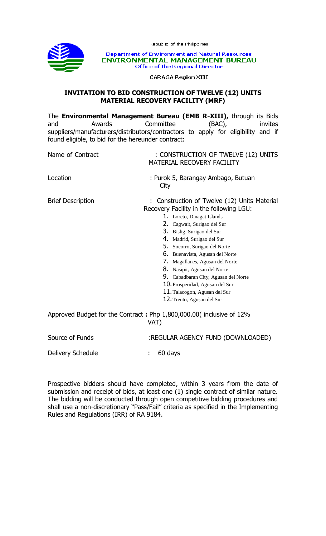

Republic of the Philippines

Department of Environment and Natural Resources ENVIRONMENTAL MANAGEMENT BUREAU **Office of the Regional Director** 

**CARAGA Region XIII** 

## **INVITATION TO BID CONSTRUCTION OF TWELVE (12) UNITS MATERIAL RECOVERY FACILITY (MRF)**

| Awards<br>and<br>found eligible, to bid for the hereunder contract: | The <b>Environmental Management Bureau (EMB R-XIII)</b> , through its Bids<br>Committee<br>$(BAC)$ ,<br>invites<br>suppliers/manufacturers/distributors/contractors to apply for eligibility and if                                                                                                                                                                                                                                                                                                    |
|---------------------------------------------------------------------|--------------------------------------------------------------------------------------------------------------------------------------------------------------------------------------------------------------------------------------------------------------------------------------------------------------------------------------------------------------------------------------------------------------------------------------------------------------------------------------------------------|
| Name of Contract                                                    | : CONSTRUCTION OF TWELVE (12) UNITS<br>MATERIAL RECOVERY FACILITY                                                                                                                                                                                                                                                                                                                                                                                                                                      |
| Location                                                            | : Purok 5, Barangay Ambago, Butuan<br>City                                                                                                                                                                                                                                                                                                                                                                                                                                                             |
| <b>Brief Description</b>                                            | Construction of Twelve (12) Units Material<br>Recovery Facility in the following LGU:<br>1. Loreto, Dinagat Islands<br>2. Cagwait, Surigao del Sur<br>3. Bislig, Surigao del Sur<br>4. Madrid, Surigao del Sur<br>5. Socorro, Surigao del Norte<br><b>6.</b> Buenavista, Agusan del Norte<br>7. Magallanes, Agusan del Norte<br>8. Nasipit, Agusan del Norte<br>9. Cabadbaran City, Agusan del Norte<br>10. Prosperidad, Agusan del Sur<br>11. Talacogon, Agusan del Sur<br>12. Trento, Agusan del Sur |
|                                                                     | Approved Budget for the Contract: Php 1,800,000.00( inclusive of 12%<br>VAT)                                                                                                                                                                                                                                                                                                                                                                                                                           |
| Source of Funds                                                     | :REGULAR AGENCY FUND (DOWNLOADED)                                                                                                                                                                                                                                                                                                                                                                                                                                                                      |
| Delivery Schedule                                                   | 60 days                                                                                                                                                                                                                                                                                                                                                                                                                                                                                                |

Prospective bidders should have completed, within 3 years from the date of submission and receipt of bids, at least one (1) single contract of similar nature. The bidding will be conducted through open competitive bidding procedures and shall use a non-discretionary "Pass/Fail" criteria as specified in the Implementing Rules and Regulations (IRR) of RA 9184.